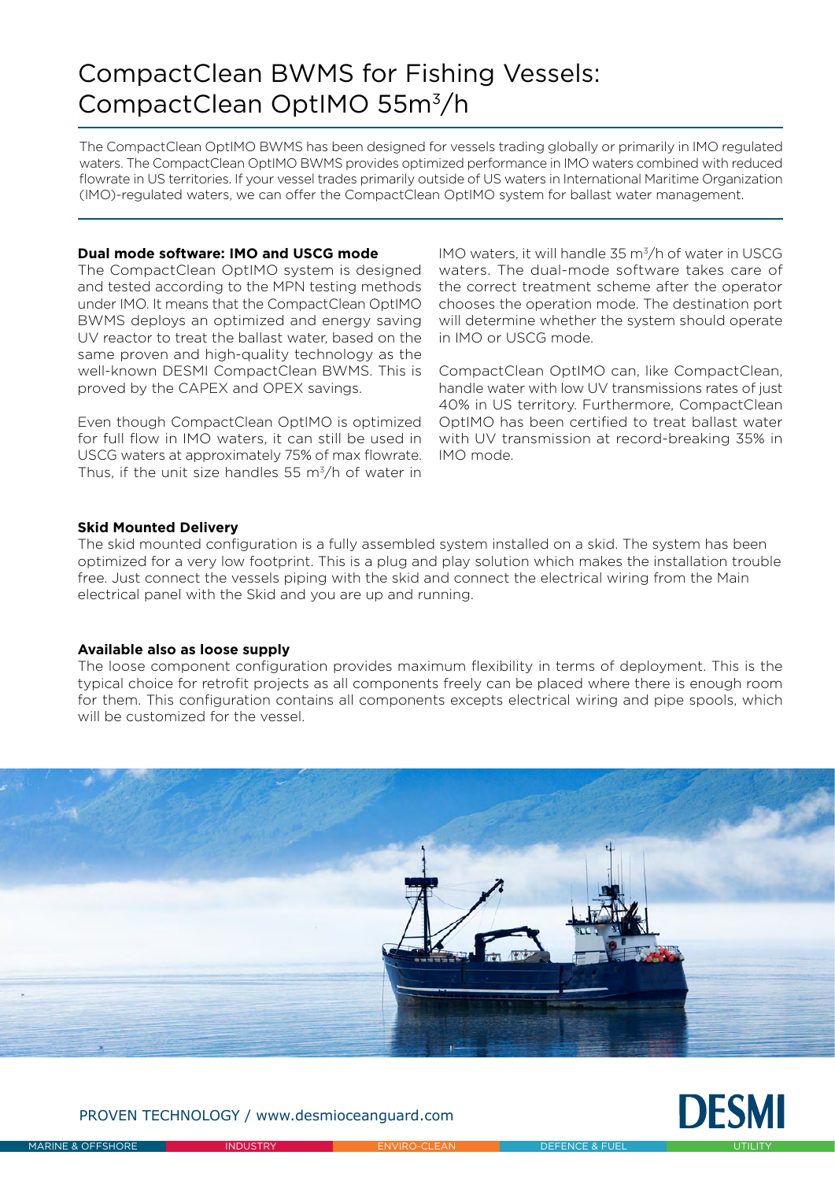## CompactClean BWMS for Fishing Vessels: CompactClean OptIMO 55m3/h

The CompactClean OptIMO BWMS has been designed for vessels trading globally or primarily in IMO regulated waters. The CompactClean OptIMO BWMS provides optimized performance in IMO waters combined with reduced flowrate in US territories. If your vessel trades primarily outside of US waters in International Maritime Organization (IMO)-regulated waters, we can offer the CompactClean OptIMO system for ballast water management.

## **Dual mode software: IMO and USCG mode**

The CompactClean OptIMO system is designed and tested according to the MPN testing methods under IMO. It means that the CompactClean OptIMO BWMS deploys an optimized and energy saving UV reactor to treat the ballast water, based on the same proven and high-quality technology as the well-known DESMI CompactClean BWMS. This is proved by the CAPEX and OPEX savings.

Even though CompactClean OptIMO is optimized for full flow in IMO waters, it can still be used in USCG waters at approximately 75% of max flowrate. Thus, if the unit size handles 55  $\mathrm{m}^3/\mathrm{h}$  of water in

IMO waters, it will handle 35 m3/h of water in USCG waters. The dual-mode software takes care of the correct treatment scheme after the operator chooses the operation mode. The destination port will determine whether the system should operate in IMO or USCG mode.

CompactClean OptIMO can, like CompactClean, handle water with low UV transmissions rates of just 40% in US territory. Furthermore, CompactClean OptIMO has been certified to treat ballast water with UV transmission at record-breaking 35% in IMO mode.

## **Skid Mounted Delivery**

The skid mounted configuration is a fully assembled system installed on a skid. The system has been optimized for a very low footprint. This is a plug and play solution which makes the installation trouble free. Just connect the vessels piping with the skid and connect the electrical wiring from the Main electrical panel with the Skid and you are up and running.

## **Available also as loose supply**

The loose component configuration provides maximum flexibility in terms of deployment. This is the typical choice for retrofit projects as all components freely can be placed where there is enough room for them. This configuration contains all components excepts electrical wiring and pipe spools, which will be customized for the vessel



PROVEN TECHNOLOGY / www.desmioceanguard.com